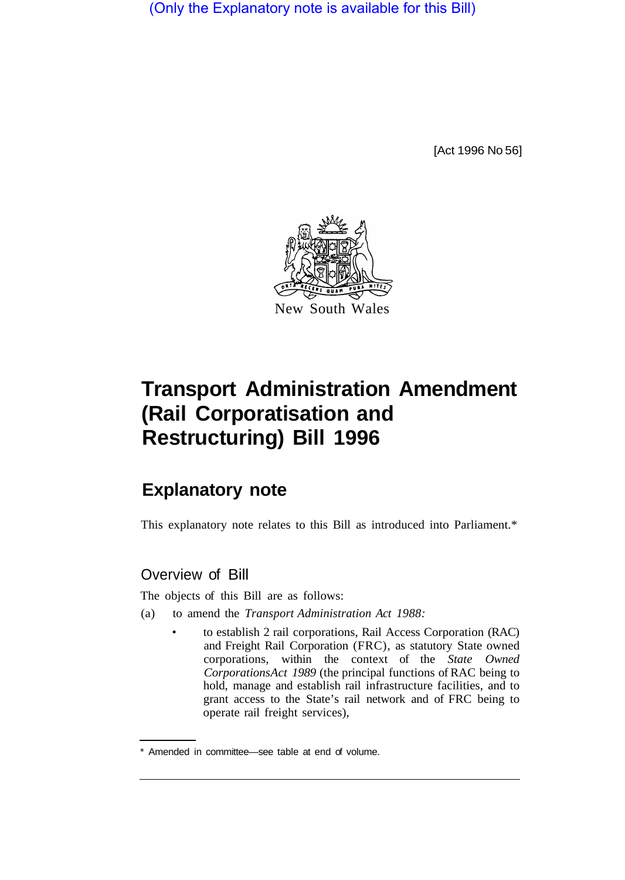(Only the Explanatory note is available for this Bill)

[Act 1996 No 56]



# **Transport Administration Amendment (Rail Corporatisation and Restructuring) Bill 1996**

# **Explanatory note**

This explanatory note relates to this Bill as introduced into Parliament.\*

### Overview of Bill

The objects of this Bill are as follows:

- (a) to amend the *Transport Administration Act 1988:* 
	- to establish 2 rail corporations, Rail Access Corporation (RAC) and Freight Rail Corporation (FRC), as statutory State owned corporations, within the context of the *State Owned Corporations Act 1989* (the principal functions of RAC being to hold, manage and establish rail infrastructure facilities, and to grant access to the State's rail network and of FRC being to operate rail freight services),

<sup>\*</sup> Amended in committee—see table at end of volume.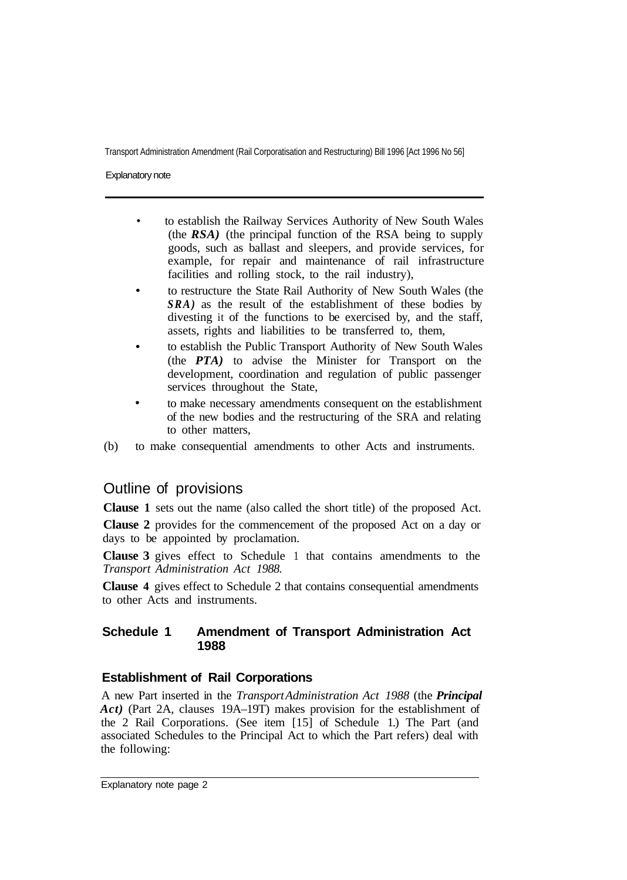Explanatory note

- to establish the Railway Services Authority of New South Wales (the *RSA)* (the principal function of the RSA being to supply goods, such as ballast and sleepers, and provide services, for example, for repair and maintenance of rail infrastructure facilities and rolling stock, to the rail industry),
- to restructure the State Rail Authority of New South Wales (the *SRA)* as the result of the establishment of these bodies by divesting it of the functions to be exercised by, and the staff, assets, rights and liabilities to be transferred to, them,
- to establish the Public Transport Authority of New South Wales (the *PTA)* to advise the Minister for Transport on the development, coordination and regulation of public passenger services throughout the State,
- to make necessary amendments consequent on the establishment of the new bodies and the restructuring of the SRA and relating to other matters,
- (b) to make consequential amendments to other Acts and instruments.

## Outline of provisions

**Clause 1** sets out the name (also called the short title) of the proposed Act.

**Clause 2** provides for the commencement of the proposed Act on a day or days to be appointed by proclamation.

**Clause 3** gives effect to Schedule 1 that contains amendments to the *Transport Administration Act 1988.* 

**Clause 4** gives effect to Schedule 2 that contains consequential amendments to other Acts and instruments.

#### **Schedule 1 Amendment of Transport Administration Act 1988**

#### **Establishment of Rail Corporations**

A new Part inserted in the *Transport Administration Act 1988* (the *Principal Act)* (Part 2A, clauses 19A–19T) makes provision for the establishment of the 2 Rail Corporations. (See item [15] of Schedule 1.) The Part (and associated Schedules to the Principal Act to which the Part refers) deal with the following: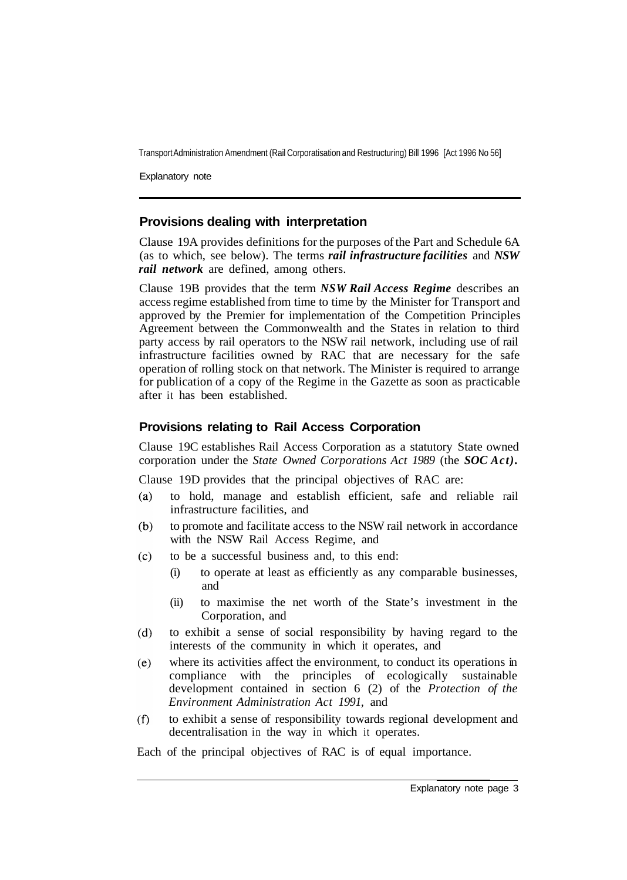Explanatory note

#### **Provisions dealing with interpretation**

Clause 19A provides definitions for the purposes of the Part and Schedule 6A (as to which, see below). The terms *rail infrastructure facilities* and *NSW rail network* are defined, among others.

Clause 19B provides that the term *NSW Rail Access Regime* describes an access regime established from time to time by the Minister for Transport and approved by the Premier for implementation of the Competition Principles Agreement between the Commonwealth and the States in relation to third party access by rail operators to the NSW rail network, including use of rail infrastructure facilities owned by RAC that are necessary for the safe operation of rolling stock on that network. The Minister is required to arrange for publication of a copy of the Regime in the Gazette as soon as practicable after it has been established.

#### **Provisions relating to Rail Access Corporation**

Clause 19C establishes Rail Access Corporation as a statutory State owned corporation under the *State Owned Corporations Act 1989* (the *SOC Act).* 

Clause 19D provides that the principal objectives of RAC are:

- $(a)$ to hold, manage and establish efficient, safe and reliable rail infrastructure facilities, and
- $(b)$ to promote and facilitate access to the NSW rail network in accordance with the NSW Rail Access Regime, and
- $(c)$ to be a successful business and, to this end:
	- (i) to operate at least as efficiently as any comparable businesses, and
	- (ii) to maximise the net worth of the State's investment in the Corporation, and
- to exhibit a sense of social responsibility by having regard to the  $(d)$ interests of the community in which it operates, and
- where its activities affect the environment, to conduct its operations in  $(e)$ compliance with the principles of ecologically sustainable development contained in section 6 (2) of the *Protection of the Environment Administration Act 1991,* and
- to exhibit a sense of responsibility towards regional development and  $(f)$ decentralisation in the way in which it operates.

Each of the principal objectives of RAC is of equal importance.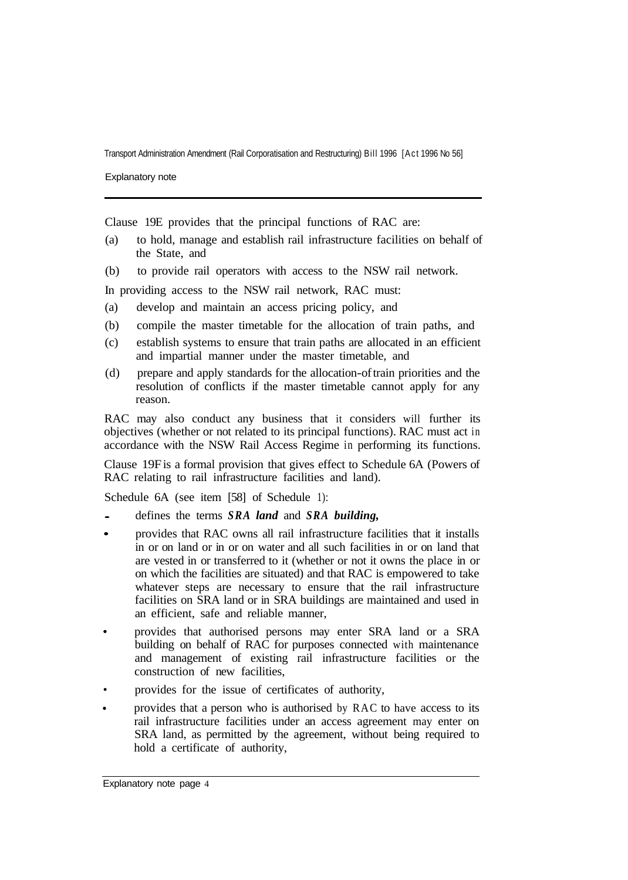Explanatory note

Clause 19E provides that the principal functions of RAC are:

- (a) to hold, manage and establish rail infrastructure facilities on behalf of the State, and
- (b) to provide rail operators with access to the NSW rail network.

In providing access to the NSW rail network, RAC must:

- (a) develop and maintain an access pricing policy, and
- (b) compile the master timetable for the allocation of train paths, and
- (c) establish systems to ensure that train paths are allocated in an efficient and impartial manner under the master timetable, and
- (d) prepare and apply standards for the allocation-of train priorities and the resolution of conflicts if the master timetable cannot apply for any reason.

RAC may also conduct any business that it considers will further its objectives (whether or not related to its principal functions). RAC must act in accordance with the NSW Rail Access Regime in performing its functions.

Clause 19F is a formal provision that gives effect to Schedule 6A (Powers of RAC relating to rail infrastructure facilities and land).

Schedule 6A (see item [58] of Schedule 1):

- defines the terms *SRA land* and *SRA building,*
- provides that RAC owns all rail infrastructure facilities that it installs in or on land or in or on water and all such facilities in or on land that are vested in or transferred to it (whether or not it owns the place in or on which the facilities are situated) and that RAC is empowered to take whatever steps are necessary to ensure that the rail infrastructure facilities on SRA land or in SRA buildings are maintained and used in an efficient, safe and reliable manner,
- provides that authorised persons may enter SRA land or a SRA building on behalf of RAC for purposes connected with maintenance and management of existing rail infrastructure facilities or the construction of new facilities,
- provides for the issue of certificates of authority,
- provides that a person who is authorised by RAC to have access to its rail infrastructure facilities under an access agreement may enter on SRA land, as permitted by the agreement, without being required to hold a certificate of authority,

Explanatory note page 4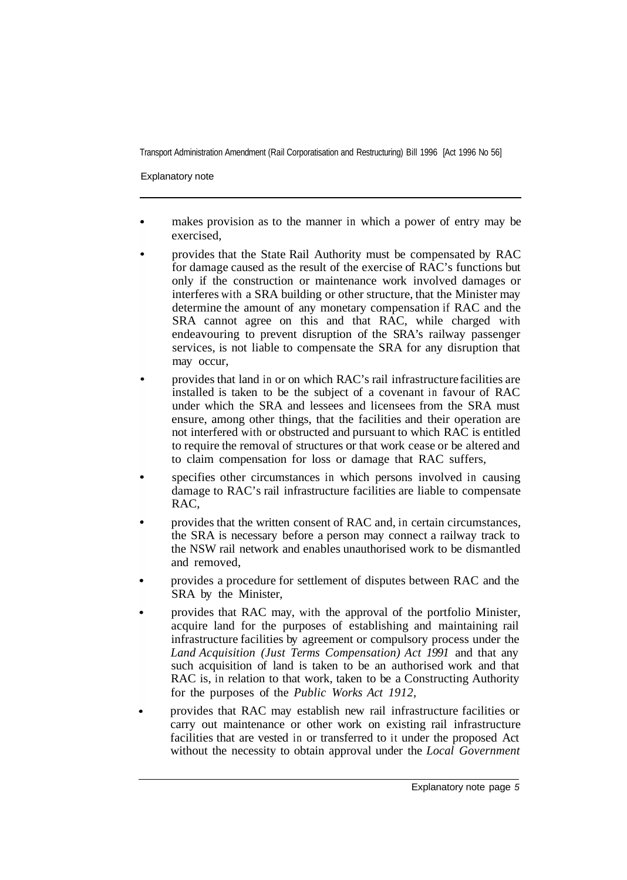Explanatory note

- makes provision as to the manner in which a power of entry may be exercised,
- provides that the State Rail Authority must be compensated by RAC for damage caused as the result of the exercise of RAC's functions but only if the construction or maintenance work involved damages or interferes with a SRA building or other structure, that the Minister may determine the amount of any monetary compensation if RAC and the SRA cannot agree on this and that RAC, while charged with endeavouring to prevent disruption of the SRA's railway passenger services, is not liable to compensate the SRA for any disruption that may occur,
- provides that land in or on which RAC's rail infrastructure facilities are installed is taken to be the subject of a covenant in favour of RAC under which the SRA and lessees and licensees from the SRA must ensure, among other things, that the facilities and their operation are not interfered with or obstructed and pursuant to which RAC is entitled to require the removal of structures or that work cease or be altered and to claim compensation for loss or damage that RAC suffers,
- specifies other circumstances in which persons involved in causing damage to RAC's rail infrastructure facilities are liable to compensate RAC,
- provides that the written consent of RAC and, in certain circumstances, the SRA is necessary before a person may connect a railway track to the NSW rail network and enables unauthorised work to be dismantled and removed,
- provides a procedure for settlement of disputes between RAC and the SRA by the Minister,
- provides that RAC may, with the approval of the portfolio Minister, acquire land for the purposes of establishing and maintaining rail infrastructure facilities by agreement or compulsory process under the *Land Acquisition (Just Terms Compensation) Act 1991* and that any such acquisition of land is taken to be an authorised work and that RAC is, in relation to that work, taken to be a Constructing Authority for the purposes of the *Public Works Act 1912,*
- provides that RAC may establish new rail infrastructure facilities or carry out maintenance or other work on existing rail infrastructure facilities that are vested in or transferred to it under the proposed Act without the necessity to obtain approval under the *Local Government*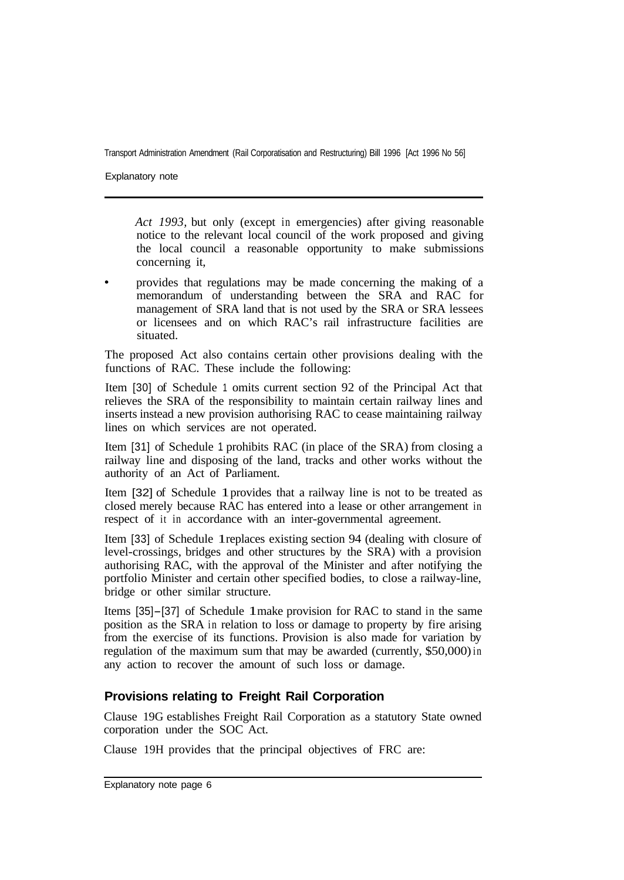Explanatory note

*Act 1993,* but only (except in emergencies) after giving reasonable notice to the relevant local council of the work proposed and giving the local council a reasonable opportunity to make submissions concerning it,

provides that regulations may be made concerning the making of a memorandum of understanding between the SRA and RAC for management of SRA land that is not used by the SRA or SRA lessees or licensees and on which RAC's rail infrastructure facilities are situated.

The proposed Act also contains certain other provisions dealing with the functions of RAC. These include the following:

Item [30] of Schedule 1 omits current section 92 of the Principal Act that relieves the SRA of the responsibility to maintain certain railway lines and inserts instead a new provision authorising RAC to cease maintaining railway lines on which services are not operated.

Item [31] of Schedule 1 prohibits RAC (in place of the SRA) from closing a railway line and disposing of the land, tracks and other works without the authority of an Act of Parliament.

Item [32] of Schedule 1 provides that a railway line is not to be treated as closed merely because RAC has entered into a lease or other arrangement in respect of it in accordance with an inter-governmental agreement.

Item [33] of Schedule 1 replaces existing section 94 (dealing with closure of level-crossings, bridges and other structures by the SRA) with a provision authorising RAC, with the approval of the Minister and after notifying the portfolio Minister and certain other specified bodies, to close a railway-line, bridge or other similar structure.

Items [35]-[37] of Schedule 1 make provision for RAC to stand in the same position as the SRA in relation to loss or damage to property by fire arising from the exercise of its functions. Provision is also made for variation by regulation of the maximum sum that may be awarded (currently, \$50,000) in any action to recover the amount of such loss or damage.

#### **Provisions relating to Freight Rail Corporation**

Clause 19G establishes Freight Rail Corporation as a statutory State owned corporation under the SOC Act.

Clause 19H provides that the principal objectives of FRC are: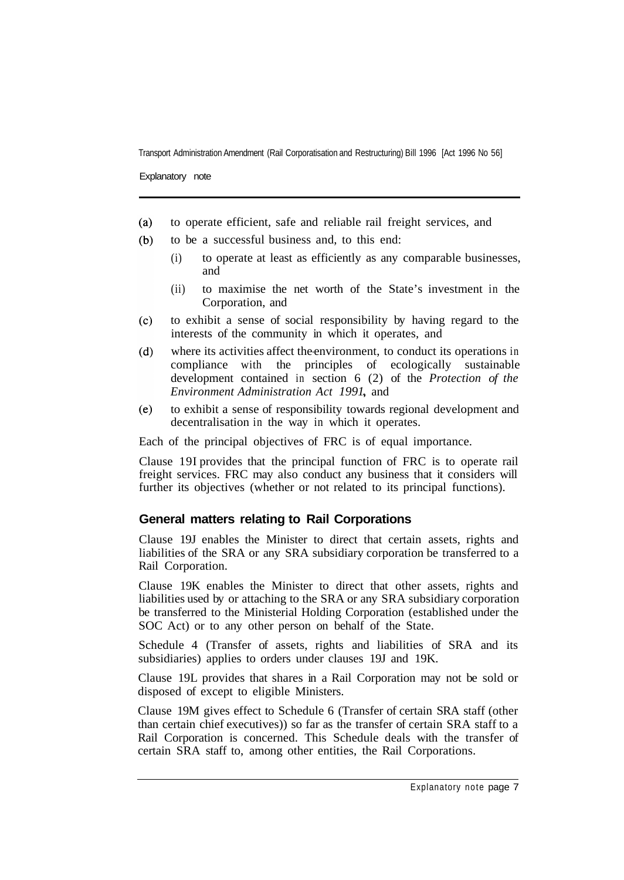Explanatory note

- to operate efficient, safe and reliable rail freight services, and  $(a)$
- to be a successful business and, to this end:  $(b)$ 
	- (i) to operate at least as efficiently as any comparable businesses, and
	- (ii) to maximise the net worth of the State's investment in the Corporation, and
- $(c)$ to exhibit a sense of social responsibility by having regard to the interests of the community in which it operates, and
- where its activities affect the-environment, to conduct its operations in  $(d)$ compliance with the principles of ecologically sustainable development contained in section 6 (2) of the *Protection of the Environment Administration Act 1991* and
- $(e)$ to exhibit a sense of responsibility towards regional development and decentralisation in the way in which it operates.

Each of the principal objectives of FRC is of equal importance.

Clause 19I provides that the principal function of FRC is to operate rail freight services. FRC may also conduct any business that it considers will further its objectives (whether or not related to its principal functions).

#### **General matters relating to Rail Corporations**

Clause 19J enables the Minister to direct that certain assets, rights and liabilities of the SRA or any SRA subsidiary corporation be transferred to a Rail Corporation.

Clause 19K enables the Minister to direct that other assets, rights and liabilities used by or attaching to the SRA or any SRA subsidiary corporation be transferred to the Ministerial Holding Corporation (established under the SOC Act) or to any other person on behalf of the State.

Schedule 4 (Transfer of assets, rights and liabilities of SRA and its subsidiaries) applies to orders under clauses 19J and 19K.

Clause 19L provides that shares in a Rail Corporation may not be sold or disposed of except to eligible Ministers.

Clause 19M gives effect to Schedule 6 (Transfer of certain SRA staff (other than certain chief executives)) so far as the transfer of certain SRA staff to a Rail Corporation is concerned. This Schedule deals with the transfer of certain SRA staff to, among other entities, the Rail Corporations.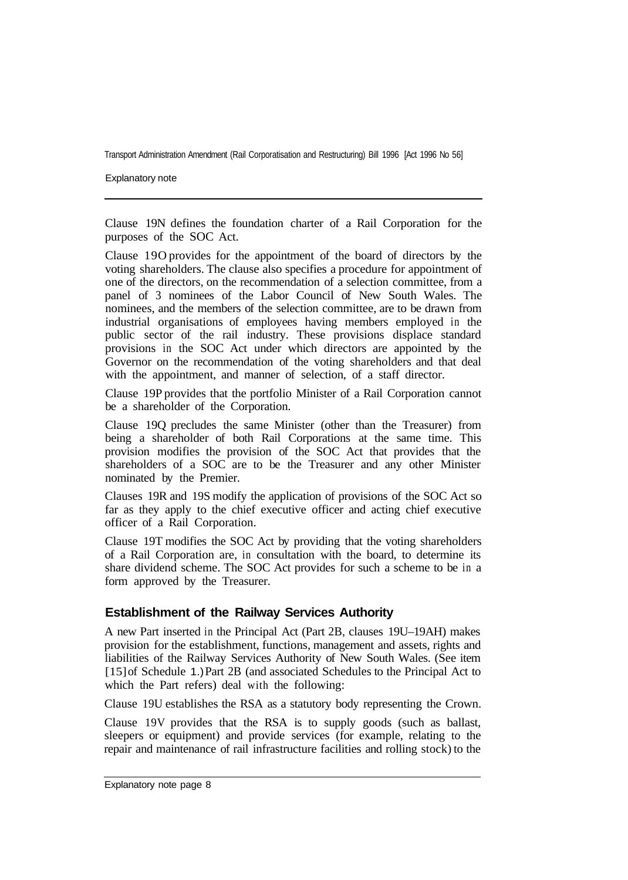Explanatory note

Clause 19N defines the foundation charter of a Rail Corporation for the purposes of the SOC Act.

Clause 19O provides for the appointment of the board of directors by the voting shareholders. The clause also specifies a procedure for appointment of one of the directors, on the recommendation of a selection committee, from a panel of 3 nominees of the Labor Council of New South Wales. The nominees, and the members of the selection committee, are to be drawn from industrial organisations of employees having members employed in the public sector of the rail industry. These provisions displace standard provisions in the SOC Act under which directors are appointed by the Governor on the recommendation of the voting shareholders and that deal with the appointment, and manner of selection, of a staff director.

Clause 19P provides that the portfolio Minister of a Rail Corporation cannot be a shareholder of the Corporation.

Clause 19Q precludes the same Minister (other than the Treasurer) from being a shareholder of both Rail Corporations at the same time. This provision modifies the provision of the SOC Act that provides that the shareholders of a SOC are to be the Treasurer and any other Minister nominated by the Premier.

Clauses 19R and 19S modify the application of provisions of the SOC Act so far as they apply to the chief executive officer and acting chief executive officer of a Rail Corporation.

Clause 19T modifies the SOC Act by providing that the voting shareholders of a Rail Corporation are, in consultation with the board, to determine its share dividend scheme. The SOC Act provides for such a scheme to be in a form approved by the Treasurer.

#### **Establishment of the Railway Services Authority**

A new Part inserted in the Principal Act (Part 2B, clauses 19U–19AH) makes provision for the establishment, functions, management and assets, rights and liabilities of the Railway Services Authority of New South Wales. (See item [15] of Schedule 1.) Part 2B (and associated Schedules to the Principal Act to which the Part refers) deal with the following:

Clause 19U establishes the RSA as a statutory body representing the Crown.

Clause 19V provides that the RSA is to supply goods (such as ballast, sleepers or equipment) and provide services (for example, relating to the repair and maintenance of rail infrastructure facilities and rolling stock) to the

Explanatory note page 8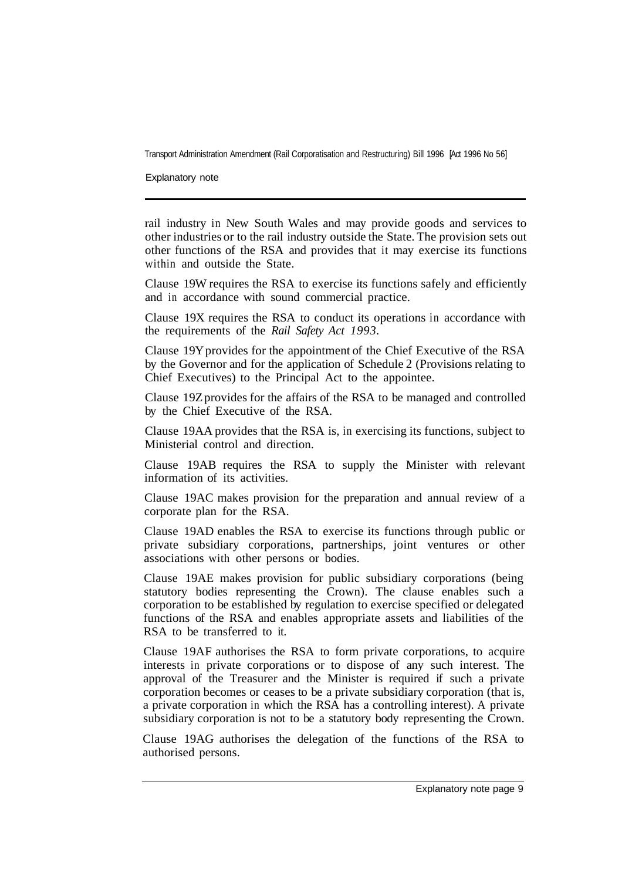Explanatory note

rail industry in New South Wales and may provide goods and services to other industries or to the rail industry outside the State. The provision sets out other functions of the RSA and provides that it may exercise its functions within and outside the State.

Clause 19W requires the RSA to exercise its functions safely and efficiently and in accordance with sound commercial practice.

Clause 19X requires the RSA to conduct its operations in accordance with the requirements of the *Rail Safety Act 1993.* 

Clause 19Y provides for the appointment of the Chief Executive of the RSA by the Governor and for the application of Schedule 2 (Provisions relating to Chief Executives) to the Principal Act to the appointee.

Clause 19Z provides for the affairs of the RSA to be managed and controlled by the Chief Executive of the RSA.

Clause 19AA provides that the RSA is, in exercising its functions, subject to Ministerial control and direction.

Clause 19AB requires the RSA to supply the Minister with relevant information of its activities.

Clause 19AC makes provision for the preparation and annual review of a corporate plan for the RSA.

Clause 19AD enables the RSA to exercise its functions through public or private subsidiary corporations, partnerships, joint ventures or other associations with other persons or bodies.

Clause 19AE makes provision for public subsidiary corporations (being statutory bodies representing the Crown). The clause enables such a corporation to be established by regulation to exercise specified or delegated functions of the RSA and enables appropriate assets and liabilities of the RSA to be transferred to it.

Clause 19AF authorises the RSA to form private corporations, to acquire interests in private corporations or to dispose of any such interest. The approval of the Treasurer and the Minister is required if such a private corporation becomes or ceases to be a private subsidiary corporation (that is, a private corporation in which the RSA has a controlling interest). A private subsidiary corporation is not to be a statutory body representing the Crown.

Clause 19AG authorises the delegation of the functions of the RSA to authorised persons.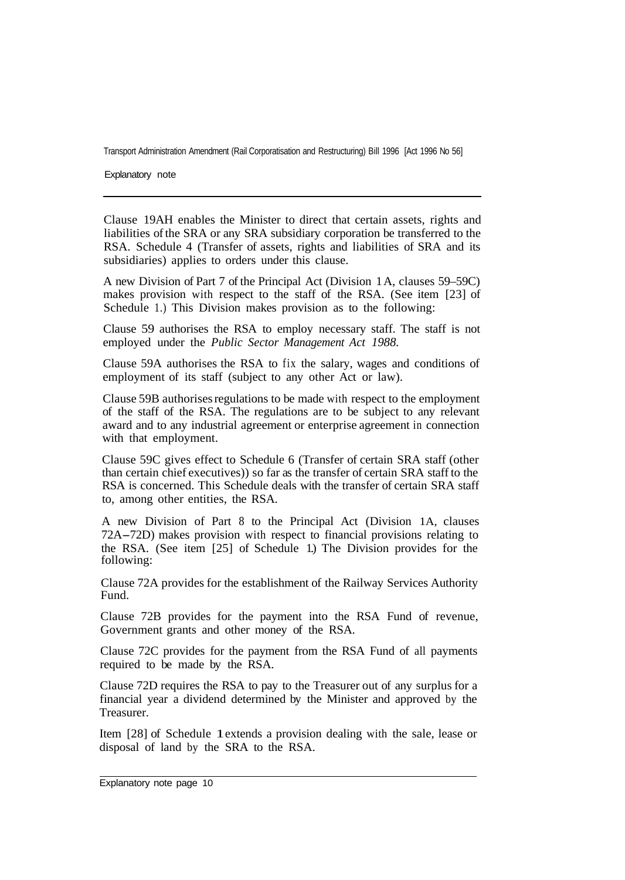Explanatory note

Clause 19AH enables the Minister to direct that certain assets, rights and liabilities of the SRA or any SRA subsidiary corporation be transferred to the RSA. Schedule 4 (Transfer of assets, rights and liabilities of SRA and its subsidiaries) applies to orders under this clause.

A new Division of Part 7 of the Principal Act (Division 1 A, clauses 59–59C) makes provision with respect to the staff of the RSA. (See item [23] of Schedule 1.) This Division makes provision as to the following:

Clause 59 authorises the RSA to employ necessary staff. The staff is not employed under the *Public Sector Management Act 1988.* 

Clause 59A authorises the RSA to fix the salary, wages and conditions of employment of its staff (subject to any other Act or law).

Clause 59B authorises regulations to be made with respect to the employment of the staff of the RSA. The regulations are to be subject to any relevant award and to any industrial agreement or enterprise agreement in connection with that employment.

Clause 59C gives effect to Schedule 6 (Transfer of certain SRA staff (other than certain chief executives)) so far as the transfer of certain SRA staff to the RSA is concerned. This Schedule deals with the transfer of certain SRA staff to, among other entities, the RSA.

A new Division of Part 8 to the Principal Act (Division 1A, clauses 72A-72D) makes provision with respect to financial provisions relating to the RSA. (See item [25] of Schedule 1.) The Division provides for the following:

Clause 72A provides for the establishment of the Railway Services Authority Fund.

Clause 72B provides for the payment into the RSA Fund of revenue, Government grants and other money of the RSA.

Clause 72C provides for the payment from the RSA Fund of all payments required to be made by the RSA.

Clause 72D requires the RSA to pay to the Treasurer out of any surplus for a financial year a dividend determined by the Minister and approved by the Treasurer.

Item [28] of Schedule 1 extends a provision dealing with the sale, lease or disposal of land by the SRA to the RSA.

Explanatory note page 10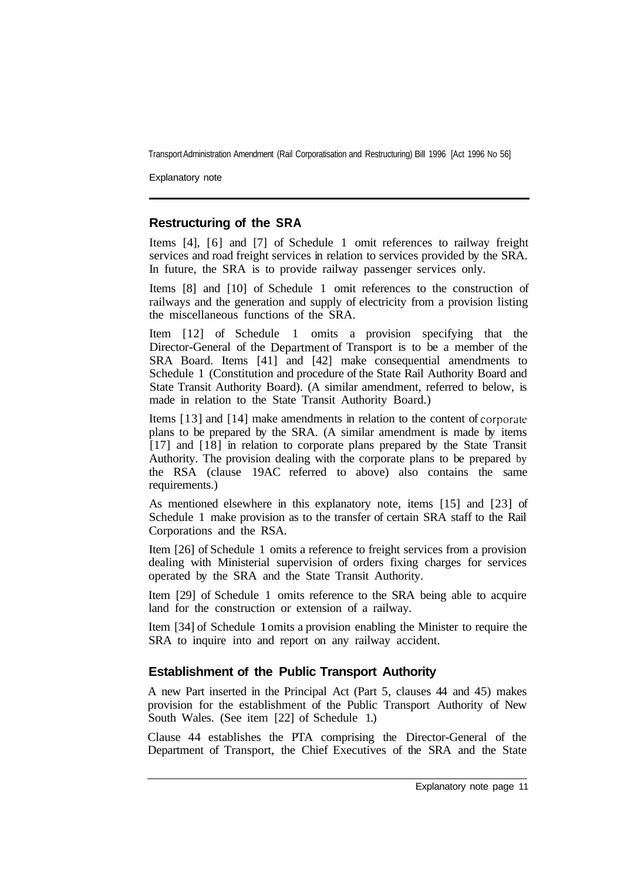Explanatory note

#### **Restructuring of the SRA**

Items [4], [6] and [7] of Schedule 1 omit references to railway freight services and road freight services in relation to services provided by the SRA. In future, the SRA is to provide railway passenger services only.

Items [8] and [10] of Schedule 1 omit references to the construction of railways and the generation and supply of electricity from a provision listing the miscellaneous functions of the SRA.

Item [12] of Schedule 1 omits a provision specifying that the Director-General of the Department of Transport is to be a member of the SRA Board. Items [41] and [42] make consequential amendments to Schedule 1 (Constitution and procedure of the State Rail Authority Board and State Transit Authority Board). (A similar amendment, referred to below, is made in relation to the State Transit Authority Board.)

Items [13] and [14] make amendments in relation to the content of corporate plans to be prepared by the SRA. (A similar amendment is made by items [17] and [18] in relation to corporate plans prepared by the State Transit Authority. The provision dealing with the corporate plans to be prepared by the RSA (clause 19AC referred to above) also contains the same requirements.)

As mentioned elsewhere in this explanatory note, items [15] and [23] of Schedule 1 make provision as to the transfer of certain SRA staff to the Rail Corporations and the RSA.

Item [26] of Schedule 1 omits a reference to freight services from a provision dealing with Ministerial supervision of orders fixing charges for services operated by the SRA and the State Transit Authority.

Item [29] of Schedule 1 omits reference to the SRA being able to acquire land for the construction or extension of a railway.

Item [34] of Schedule 1 omits a provision enabling the Minister to require the SRA to inquire into and report on any railway accident.

#### **Establishment of the Public Transport Authority**

A new Part inserted in the Principal Act (Part 5, clauses 44 and 45) makes provision for the establishment of the Public Transport Authority of New South Wales. (See item [22] of Schedule 1.)

Clause 44 establishes the PTA comprising the Director-General of the Department of Transport, the Chief Executives of the SRA and the State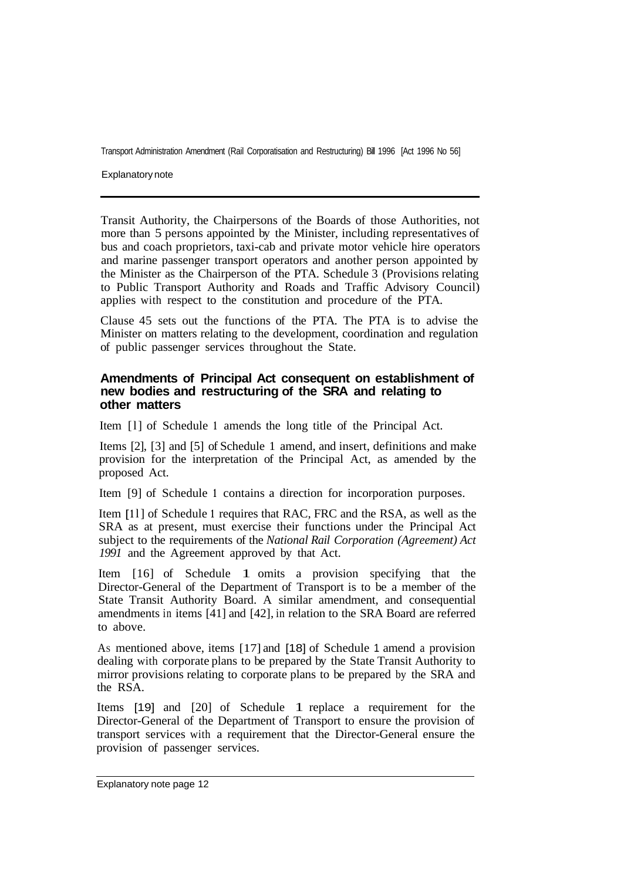Explanatory note

Transit Authority, the Chairpersons of the Boards of those Authorities, not more than 5 persons appointed by the Minister, including representatives of bus and coach proprietors, taxi-cab and private motor vehicle hire operators and marine passenger transport operators and another person appointed by the Minister as the Chairperson of the PTA. Schedule 3 (Provisions relating to Public Transport Authority and Roads and Traffic Advisory Council) applies with respect to the constitution and procedure of the PTA.

Clause 45 sets out the functions of the PTA. The PTA is to advise the Minister on matters relating to the development, coordination and regulation of public passenger services throughout the State.

#### **Amendments of Principal Act consequent on establishment of new bodies and restructuring of the SRA and relating to other matters**

Item [l] of Schedule **1** amends the long title of the Principal Act.

Items [2], [3] and [5] of Schedule 1 amend, and insert, definitions and make provision for the interpretation of the Principal Act, as amended by the proposed Act.

Item [9] of Schedule **1** contains a direction for incorporation purposes.

Item [11] of Schedule 1 requires that RAC, FRC and the RSA, as well as the SRA as at present, must exercise their functions under the Principal Act subject to the requirements of the *National Rail Corporation (Agreement) Act 1991* and the Agreement approved by that Act.

Item [16] of Schedule 1 omits a provision specifying that the Director-General of the Department of Transport is to be a member of the State Transit Authority Board. A similar amendment, and consequential amendments in items [41] and [42], in relation to the SRA Board are referred to above.

AS mentioned above, items [17] and [18] of Schedule 1 amend a provision dealing with corporate plans to be prepared by the State Transit Authority to mirror provisions relating to corporate plans to be prepared by the SRA and the RSA.

Items [19] and [20] of Schedule 1 replace a requirement for the Director-General of the Department of Transport to ensure the provision of transport services with a requirement that the Director-General ensure the provision of passenger services.

Explanatory note page 12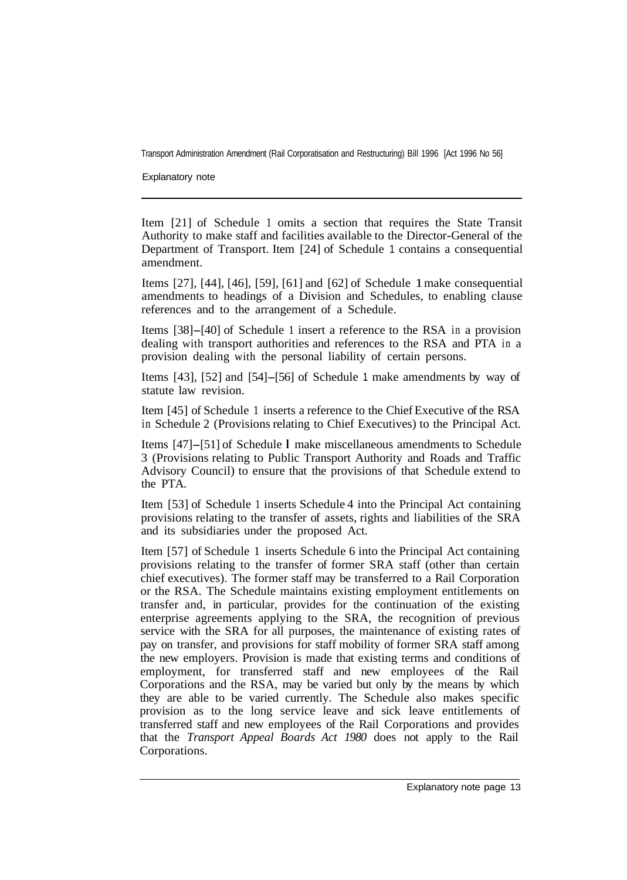Explanatory note

Item [21] of Schedule 1 omits a section that requires the State Transit Authority to make staff and facilities available to the Director-General of the Department of Transport. Item [24] of Schedule 1 contains a consequential amendment.

Items [27], [44], [46], [59], [61] and [62] of Schedule 1 make consequential amendments to headings of a Division and Schedules, to enabling clause references and to the arrangement of a Schedule.

Items [38]-[40] of Schedule 1 insert a reference to the RSA in a provision dealing with transport authorities and references to the RSA and PTA in a provision dealing with the personal liability of certain persons.

Items [43], [52] and [54]-[56] of Schedule 1 make amendments by way of statute law revision.

Item [45] of Schedule 1 inserts a reference to the Chief Executive of the RSA in Schedule 2 (Provisions relating to Chief Executives) to the Principal Act.

Items [47]-[51] of Schedule **l** make miscellaneous amendments to Schedule 3 (Provisions relating to Public Transport Authority and Roads and Traffic Advisory Council) to ensure that the provisions of that Schedule extend to the PTA.

Item [53] of Schedule 1 inserts Schedule 4 into the Principal Act containing provisions relating to the transfer of assets, rights and liabilities of the SRA and its subsidiaries under the proposed Act.

Item [57] of Schedule 1 inserts Schedule 6 into the Principal Act containing provisions relating to the transfer of former SRA staff (other than certain chief executives). The former staff may be transferred to a Rail Corporation or the RSA. The Schedule maintains existing employment entitlements on transfer and, in particular, provides for the continuation of the existing enterprise agreements applying to the SRA, the recognition of previous service with the SRA for all purposes, the maintenance of existing rates of pay on transfer, and provisions for staff mobility of former SRA staff among the new employers. Provision is made that existing terms and conditions of employment, for transferred staff and new employees of the Rail Corporations and the RSA, may be varied but only by the means by which they are able to be varied currently. The Schedule also makes specific provision as to the long service leave and sick leave entitlements of transferred staff and new employees of the Rail Corporations and provides that the *Transport Appeal Boards Act 1980* does not apply to the Rail Corporations.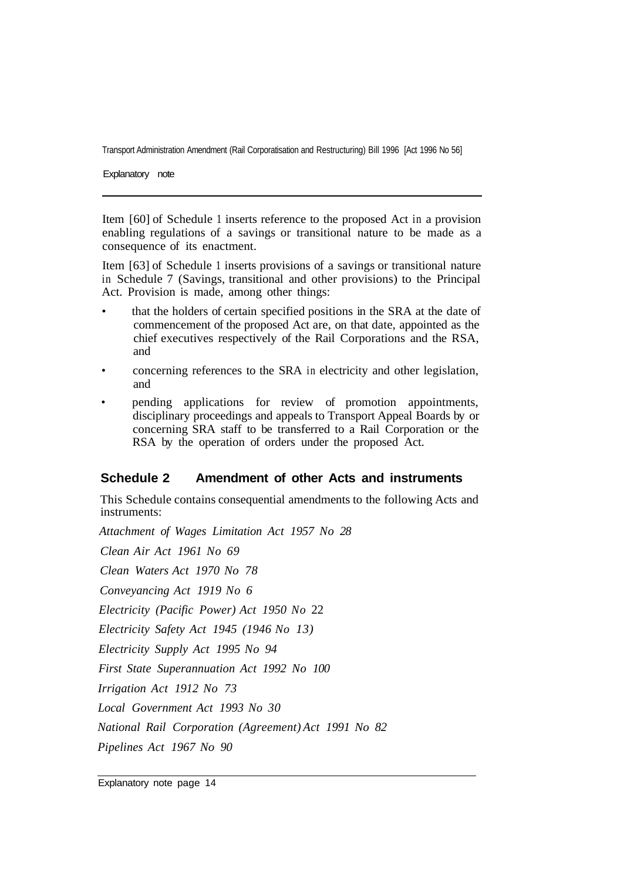Explanatory note

Item [60] of Schedule 1 inserts reference to the proposed Act in a provision enabling regulations of a savings or transitional nature to be made as a consequence of its enactment.

Item [63] of Schedule 1 inserts provisions of a savings or transitional nature in Schedule 7 (Savings, transitional and other provisions) to the Principal Act. Provision is made, among other things:

- that the holders of certain specified positions in the SRA at the date of commencement of the proposed Act are, on that date, appointed as the chief executives respectively of the Rail Corporations and the RSA, and
- concerning references to the SRA in electricity and other legislation, and
- pending applications for review of promotion appointments, disciplinary proceedings and appeals to Transport Appeal Boards by or concerning SRA staff to be transferred to a Rail Corporation or the RSA by the operation of orders under the proposed Act.

#### **Schedule 2 Amendment of other Acts and instruments**

This Schedule contains consequential amendments to the following Acts and instruments:

*Attachment of Wages Limitation Act 1957 No 28 Clean Air Act 1961 No 69 Clean Waters Act 1970 No 78 Conveyancing Act 1919 No 6 Electricity (Pacific Power) Act 1950 No* 22 *Electricity Safety Act 1945 (1946 No 13) Electricity Supply Act 1995 No 94 First State Superannuation Act 1992 No 100 Irrigation Act 1912 No 73 Local Government Act 1993 No 30 National Rail Corporation (Agreement) Act 1991 No 82 Pipelines Act 1967 No 90*